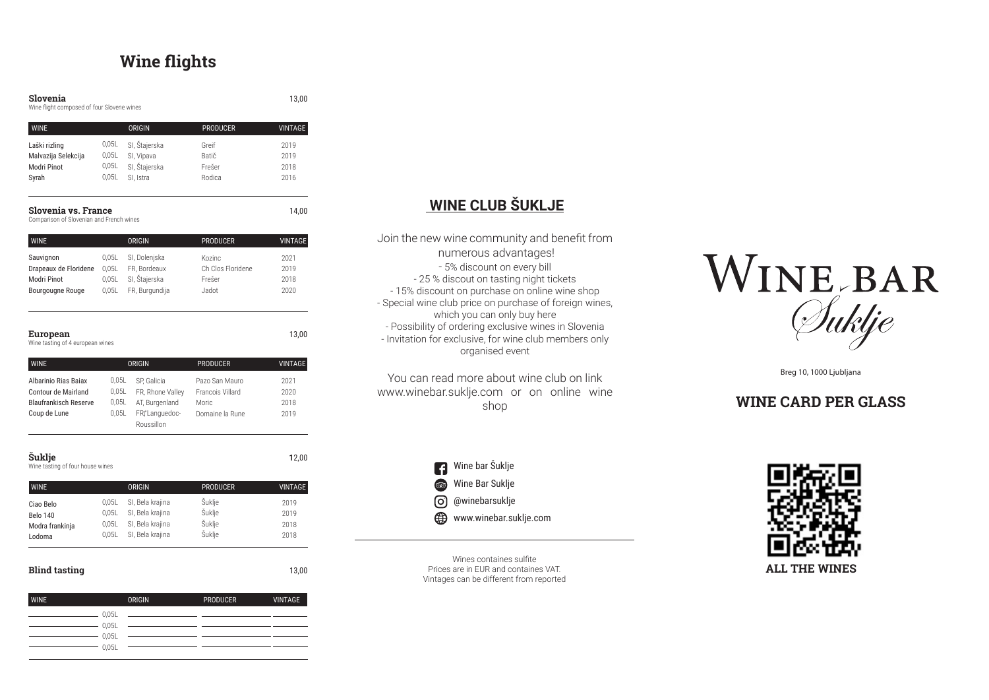

Breg 10, 1000 Ljubljana

## **WINE CARD PER GLASS**

Laški rizling Malvazija Selekcija Modri Pinot Syrah 0,05L SI, Štajerska 0,05L SI, Vipava 0,05L SI, Štajerska 0,05L SI, Istra Greif Batič Frešer Rodica 2019 2019 2018 2016 WINE ORIGIN ORIGIN PRODUCER VINTAGE

### **Slovenia vs. France** 14,00

Wines containes sulfite Prices are in EUR and containes VAT. Vintages can be different from reported

#### **Slovenia** 13,00

Wine flight composed of four Slovene wines

Comparison of Slovenian and French wines

| <b>WINE</b>           |       | <b>ORIGIN</b>  | <b>PRODUCER</b>   | <b>VINTAGE</b> |
|-----------------------|-------|----------------|-------------------|----------------|
| Sauvignon             | 0.05L | SI, Dolenjska  | Kozinc            | 2021           |
| Drapeaux de Floridene | 0.05L | FR, Bordeaux   | Ch Clos Floridene | 2019           |
| Modri Pinot           | 0.05L | SI, Štajerska  | Frešer            | 2018           |
| Bourgougne Rouge      | 0.05L | FR, Burgundija | Jadot             | 2020           |
|                       |       |                |                   |                |

### **European** 13,00

Wine tasting of 4 european wines

| <b>WINE</b>                  |       | <b>ORIGIN</b>    | <b>PRODUCER</b>  | VINTAGE |
|------------------------------|-------|------------------|------------------|---------|
| Albarinio Rias Bajax         | 0.05L | SP. Galicia      | Pazo San Mauro   | 2021    |
| <b>Contour de Mairland</b>   | 0.05L | FR, Rhone Valley | Francois Villard | 2020    |
| <b>Blaufrankisch Reserve</b> | 0,05L | AT, Burgenland   | <b>Moric</b>     | 2018    |
| Coup de Lune                 | 0.05L | FRILanguedoc-    | Domaine la Rune  | 2019    |
|                              |       | Roussillon       |                  |         |

### **Šuklje** 12,00

Wine tasting of four house wines

| <b>WINE</b>     |       | ORIGIN           | <b>PRODUCER</b> | <b>VINTAGE</b> |
|-----------------|-------|------------------|-----------------|----------------|
| Ciao Belo       | 0.05L | SI, Bela krajina | <b>Suklje</b>   | 2019           |
| <b>Belo 140</b> | 0.05L | SI, Bela krajina | Šuklje          | 2019           |
| Modra frankinja | 0.05L | SI, Bela krajina | Šuklje          | 2018           |
| Lodoma          | 0.05L | SI, Bela krajina | Šuklje          | 2018           |

### **Blind tasting** 13,00

 $-0.05L$  $- 0.05L$  $-0,05L$  $-0.05L$ WINE ORIGIN ORIGIN PRODUCER VINTAGE

# **Wine flights**

# **WINE CLUB ŠUKLJE**

Join the new wine community and benefit from numerous advantages! - 5% discount on every bill - 25 % discout on tasting night tickets - 15% discount on purchase on online wine shop - Special wine club price on purchase of foreign wines, which you can only buy here - Possibility of ordering exclusive wines in Slovenia - Invitation for exclusive, for wine club members only organised event

You can read more about wine club on link www.winebar.suklje.com or on online wine shop

> **1** Wine bar Šuklje  $\circledcirc$ Wine Bar Suklje @winebarsuklje www.winebar.suklje.com